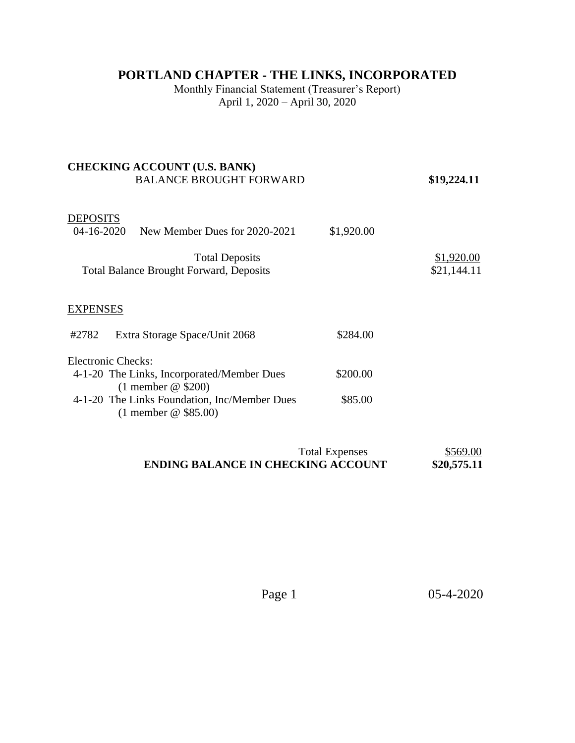## **PORTLAND CHAPTER - THE LINKS, INCORPORATED**

Monthly Financial Statement (Treasurer's Report) April 1, 2020 – April 30, 2020

## **CHECKING ACCOUNT (U.S. BANK)**  BALANCE BROUGHT FORWARD **\$19,224.11**

## **DEPOSITS**

| $04 - 16 - 2020$ | New Member Dues for 2020-2021                                           | \$1,920.00 |                           |
|------------------|-------------------------------------------------------------------------|------------|---------------------------|
|                  | <b>Total Deposits</b><br><b>Total Balance Brought Forward, Deposits</b> |            | \$1,920.00<br>\$21,144.11 |
| <b>EXPENSES</b>  |                                                                         |            |                           |
| #2782            | Extra Storage Space/Unit 2068                                           | \$284.00   |                           |
|                  | Electronic Checks:                                                      |            |                           |
|                  | 4-1-20 The Links, Incorporated/Member Dues<br>$(1$ member @ \$200)      | \$200.00   |                           |
|                  | 4-1-20 The Links Foundation, Inc/Member Dues<br>$(1$ member @ \$85.00)  | \$85.00    |                           |

| <b>Total Expenses</b>                     | \$569.00    |
|-------------------------------------------|-------------|
| <b>ENDING BALANCE IN CHECKING ACCOUNT</b> | \$20,575.11 |

Page 1 05-4-2020